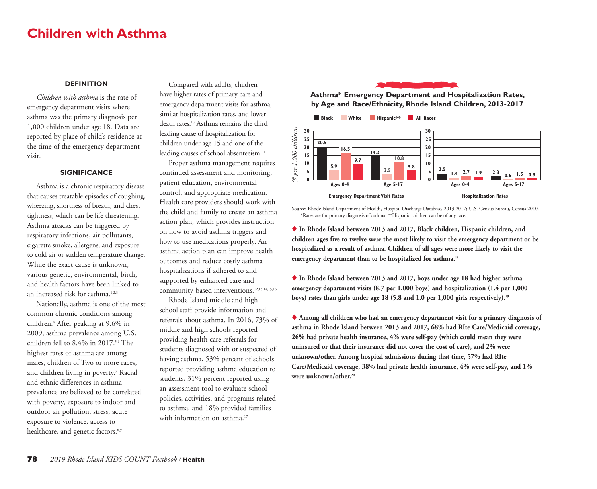# **Children with Asthma**

## **DEFINITION**

*Children with asthma* is the rate of emergency department visits where asthma was the primary diagnosis per 1,000 children under age 18. Data are reported by place of child's residence at the time of the emergency department visit.

### **SIGNIFICANCE**

Asthma is a chronic respiratory disease that causes treatable episodes of coughing, wheezing, shortness of breath, and chest tightness, which can be life threatening. Asthma attacks can be triggered by respiratory infections, air pollutants, cigarette smoke, allergens, and exposure to cold air or sudden temperature change. While the exact cause is unknown, various genetic, environmental, birth, and health factors have been linked to an increased risk for asthma.<sup>1,2,3</sup>

Nationally, asthma is one of the most common chronic conditions among children.4 After peaking at 9.6% in 2009, asthma prevalence among U.S. children fell to 8.4% in 2017.<sup>5,6</sup> The highest rates of asthma are among males, children of Two or more races, and children living in poverty.<sup>7</sup> Racial and ethnic differences in asthma prevalence are believed to be correlated with poverty, exposure to indoor and outdoor air pollution, stress, acute exposure to violence, access to healthcare, and genetic factors.<sup>8,9</sup>

Compared with adults, children have higher rates of primary care and emergency department visits for asthma, similar hospitalization rates, and lower death rates.10 Asthma remains the third leading cause of hospitalization for children under age 15 and one of the leading causes of school absenteeism.<sup>11</sup>

Proper asthma management requires continued assessment and monitoring, patient education, environmental control, and appropriate medication. Health care providers should work with the child and family to create an asthma action plan, which provides instruction on how to avoid asthma triggers and how to use medications properly. An asthma action plan can improve health outcomes and reduce costly asthma hospitalizations if adhered to and supported by enhanced care and community-based interventions.<sup>12,13,14,15,16</sup>

Rhode Island middle and high school staff provide information and referrals about asthma. In 2016, 73% of middle and high schools reported providing health care referrals for students diagnosed with or suspected of having asthma, 53% percent of schools reported providing asthma education to students, 31% percent reported using an assessment tool to evaluate school policies, activities, and programs related to asthma, and 18% provided families with information on asthma.<sup>17</sup>



**Asthma\* Emergency Department and Hospitalization Rates, by Age and Race/Ethnicity, Rhode Island Children, 2013-2017**



Source: Rhode Island Department of Health, Hospital Discharge Database, 2013-2017; U.S. Census Bureau, Census 2010. \*Rates are for primary diagnosis of asthma. \*\*Hispanic children can be of any race.

◆ **In Rhode Island between 2013 and 2017, Black children, Hispanic children, and children ages five to twelve were the most likely to visit the emergency department or be hospitalized as a result of asthma. Children of all ages were more likely to visit the emergency department than to be hospitalized for asthma.18**

◆ **In Rhode Island between 2013 and 2017, boys under age 18 had higher asthma emergency department visits (8.7 per 1,000 boys) and hospitalization (1.4 per 1,000 boys) rates than girls under age 18 (5.8 and 1.0 per 1,000 girls respectively).19**

◆ Among all children who had an emergency department visit for a primary diagnosis of **asthma in Rhode Island between 2013 and 2017, 68% had RIte Care/Medicaid coverage, 26% had private health insurance, 4% were self-pay (which could mean they were uninsured or that their insurance did not cover the cost of care), and 2% were unknown/other. Among hospital admissions during that time, 57% had RIte Care/Medicaid coverage, 38% had private health insurance, 4% were self-pay, and 1% were unknown/other.20**